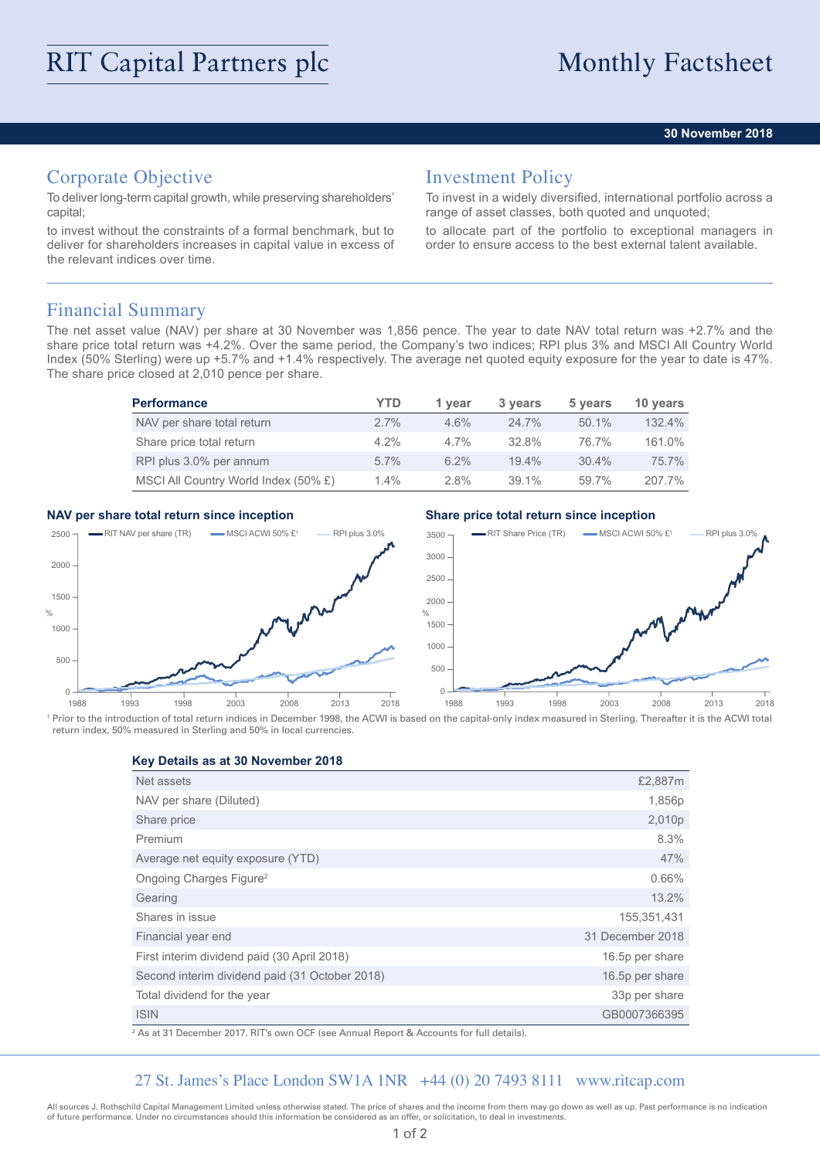### **30 November 2018**

# Corporate Objective

To deliver long-term capital growth, while preserving shareholders' capital;

to invest without the constraints of a formal benchmark, but to deliver for shareholders increases in capital value in excess of the relevant indices over time.

## Investment Policy

To invest in a widely diversified, international portfolio across a range of asset classes, both quoted and unquoted;

to allocate part of the portfolio to exceptional managers in order to ensure access to the best external talent available.

## Financial Summary

The net asset value (NAV) per share at 30 November was 1,856 pence. The year to date NAV total return was +2.7% and the share price total return was +4.2%. Over the same period, the Company's two indices; RPI plus 3% and MSCI All Country World Index (50% Sterling) were up +5.7% and +1.4% respectively. The average net quoted equity exposure for the year to date is 47%. The share price closed at 2,010 pence per share.

| <b>Performance</b>                   | YTD     | 1 vear  | 3 years  | 5 years  | 10 years  |
|--------------------------------------|---------|---------|----------|----------|-----------|
| NAV per share total return           | $2.7\%$ | 4.6%    | $24.7\%$ | $50.1\%$ | 132.4%    |
| Share price total return             | $4.2\%$ | $4.7\%$ | 32.8%    | 76.7%    | 161.0%    |
| RPI plus 3.0% per annum              | $5.7\%$ | $6.2\%$ | $19.4\%$ | 30.4%    | 75.7%     |
| MSCI All Country World Index (50% £) | $1.4\%$ | $2.8\%$ | 39.1%    | 59.7%    | $207.7\%$ |

### **NAV per share total return since inception Share price total return since inception**



<sup>1</sup> Prior to the introduction of total return indices in December 1998, the ACWI is based on the capital-only index measured in Sterling. Thereafter it is the ACWI total return index, 50% measured in Sterling and 50% in local currencies.

**Key Details as at 30 November 2018**

| Net assets                                     | £2,887m          |
|------------------------------------------------|------------------|
| NAV per share (Diluted)                        | 1,856p           |
| Share price                                    | 2,010p           |
| Premium                                        | 8.3%             |
| Average net equity exposure (YTD)              | 47%              |
| Ongoing Charges Figure <sup>2</sup>            | 0.66%            |
| Gearing                                        | 13.2%            |
| Shares in issue                                | 155,351,431      |
| Financial year end                             | 31 December 2018 |
| First interim dividend paid (30 April 2018)    | 16.5p per share  |
| Second interim dividend paid (31 October 2018) | 16.5p per share  |
| Total dividend for the year                    | 33p per share    |
| <b>ISIN</b>                                    | GB0007366395     |

2 As at 31 December 2017. RIT's own OCF (see Annual Report & Accounts for full details).

## 27 St. James's Place London SW1A 1NR +44 (0) 20 7493 8111 www.ritcap.com

All sources J. Rothschild Capital Management Limited unless otherwise stated. The price of shares and the income from them may go down as well as up. Past performance is no indication of future performance. Under no circumstances should this information be considered as an offer, or solicitation, to deal in investments.